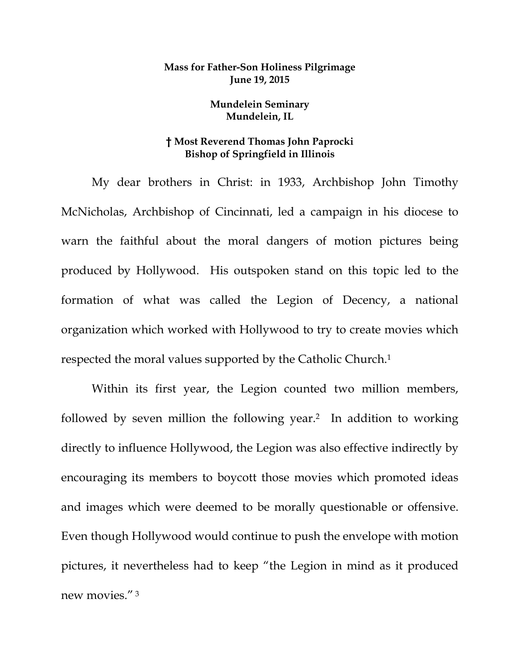## **Mass for Father-Son Holiness Pilgrimage June 19, 2015**

## **Mundelein Seminary Mundelein, IL**

## **† Most Reverend Thomas John Paprocki Bishop of Springfield in Illinois**

My dear brothers in Christ: in 1933, Archbishop John Timothy McNicholas, Archbishop of Cincinnati, led a campaign in his diocese to warn the faithful about the moral dangers of motion pictures being produced by Hollywood. His outspoken stand on this topic led to the formation of what was called the Legion of Decency, a national organization which worked with Hollywood to try to create movies which respected the moral values supported by the Catholic Church.1

Within its first year, the Legion counted two million members, followed by seven million the following year.2 In addition to working directly to influence Hollywood, the Legion was also effective indirectly by encouraging its members to boycott those movies which promoted ideas and images which were deemed to be morally questionable or offensive. Even though Hollywood would continue to push the envelope with motion pictures, it nevertheless had to keep "the Legion in mind as it produced new movies." 3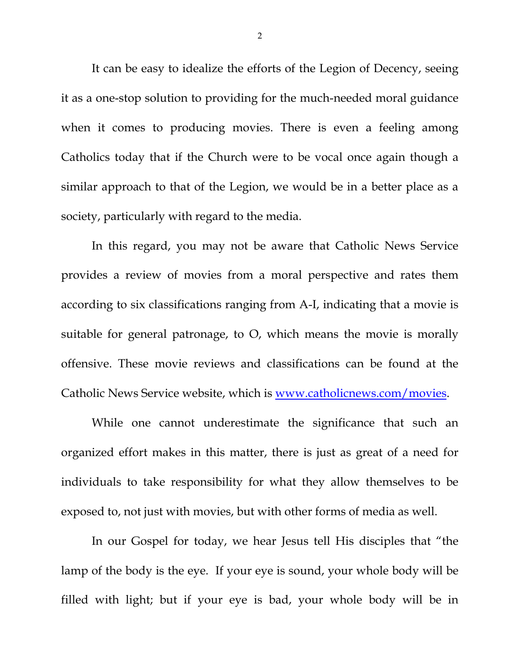It can be easy to idealize the efforts of the Legion of Decency, seeing it as a one-stop solution to providing for the much-needed moral guidance when it comes to producing movies. There is even a feeling among Catholics today that if the Church were to be vocal once again though a similar approach to that of the Legion, we would be in a better place as a society, particularly with regard to the media.

In this regard, you may not be aware that Catholic News Service provides a review of movies from a moral perspective and rates them according to six classifications ranging from A-I, indicating that a movie is suitable for general patronage, to O, which means the movie is morally offensive. These movie reviews and classifications can be found at the Catholic News Service website, which is www.catholicnews.com/movies.

While one cannot underestimate the significance that such an organized effort makes in this matter, there is just as great of a need for individuals to take responsibility for what they allow themselves to be exposed to, not just with movies, but with other forms of media as well.

In our Gospel for today, we hear Jesus tell His disciples that "the lamp of the body is the eye. If your eye is sound, your whole body will be filled with light; but if your eye is bad, your whole body will be in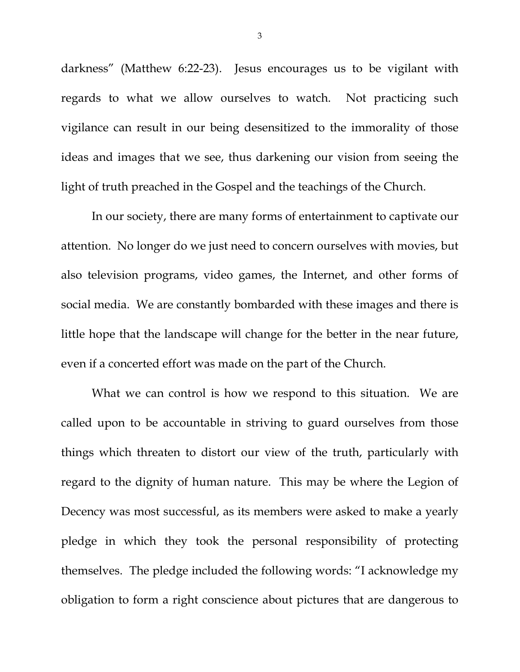darkness" (Matthew 6:22-23). Jesus encourages us to be vigilant with regards to what we allow ourselves to watch. Not practicing such vigilance can result in our being desensitized to the immorality of those ideas and images that we see, thus darkening our vision from seeing the light of truth preached in the Gospel and the teachings of the Church.

In our society, there are many forms of entertainment to captivate our attention. No longer do we just need to concern ourselves with movies, but also television programs, video games, the Internet, and other forms of social media. We are constantly bombarded with these images and there is little hope that the landscape will change for the better in the near future, even if a concerted effort was made on the part of the Church.

What we can control is how we respond to this situation. We are called upon to be accountable in striving to guard ourselves from those things which threaten to distort our view of the truth, particularly with regard to the dignity of human nature. This may be where the Legion of Decency was most successful, as its members were asked to make a yearly pledge in which they took the personal responsibility of protecting themselves. The pledge included the following words: "I acknowledge my obligation to form a right conscience about pictures that are dangerous to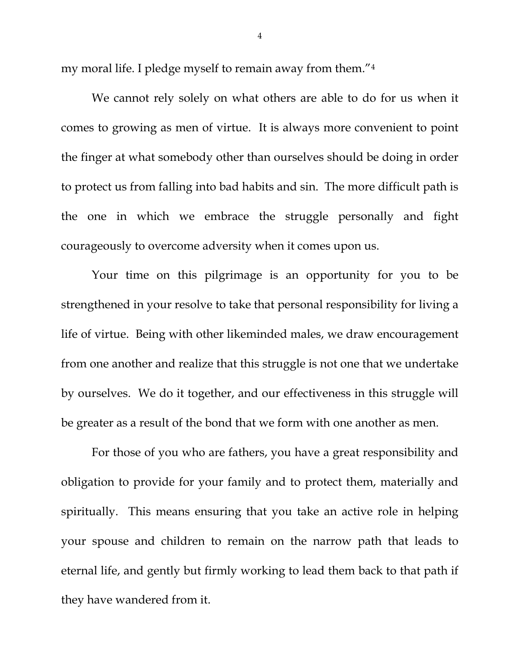my moral life. I pledge myself to remain away from them."4

We cannot rely solely on what others are able to do for us when it comes to growing as men of virtue. It is always more convenient to point the finger at what somebody other than ourselves should be doing in order to protect us from falling into bad habits and sin. The more difficult path is the one in which we embrace the struggle personally and fight courageously to overcome adversity when it comes upon us.

Your time on this pilgrimage is an opportunity for you to be strengthened in your resolve to take that personal responsibility for living a life of virtue. Being with other likeminded males, we draw encouragement from one another and realize that this struggle is not one that we undertake by ourselves. We do it together, and our effectiveness in this struggle will be greater as a result of the bond that we form with one another as men.

For those of you who are fathers, you have a great responsibility and obligation to provide for your family and to protect them, materially and spiritually. This means ensuring that you take an active role in helping your spouse and children to remain on the narrow path that leads to eternal life, and gently but firmly working to lead them back to that path if they have wandered from it.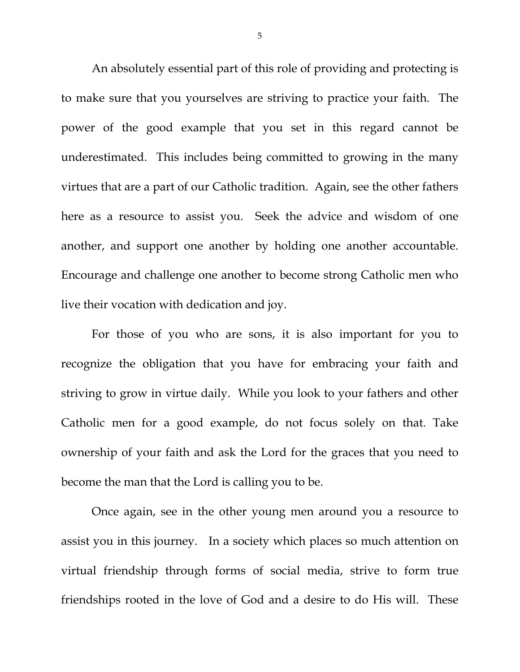An absolutely essential part of this role of providing and protecting is to make sure that you yourselves are striving to practice your faith. The power of the good example that you set in this regard cannot be underestimated. This includes being committed to growing in the many virtues that are a part of our Catholic tradition. Again, see the other fathers here as a resource to assist you. Seek the advice and wisdom of one another, and support one another by holding one another accountable. Encourage and challenge one another to become strong Catholic men who live their vocation with dedication and joy.

For those of you who are sons, it is also important for you to recognize the obligation that you have for embracing your faith and striving to grow in virtue daily. While you look to your fathers and other Catholic men for a good example, do not focus solely on that. Take ownership of your faith and ask the Lord for the graces that you need to become the man that the Lord is calling you to be.

Once again, see in the other young men around you a resource to assist you in this journey. In a society which places so much attention on virtual friendship through forms of social media, strive to form true friendships rooted in the love of God and a desire to do His will. These

5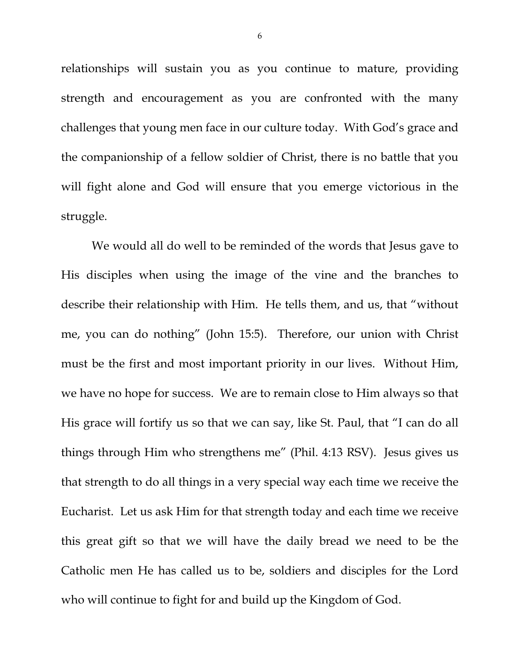relationships will sustain you as you continue to mature, providing strength and encouragement as you are confronted with the many challenges that young men face in our culture today. With God's grace and the companionship of a fellow soldier of Christ, there is no battle that you will fight alone and God will ensure that you emerge victorious in the struggle.

We would all do well to be reminded of the words that Jesus gave to His disciples when using the image of the vine and the branches to describe their relationship with Him. He tells them, and us, that "without me, you can do nothing" (John 15:5). Therefore, our union with Christ must be the first and most important priority in our lives. Without Him, we have no hope for success. We are to remain close to Him always so that His grace will fortify us so that we can say, like St. Paul, that "I can do all things through Him who strengthens me" (Phil. 4:13 RSV). Jesus gives us that strength to do all things in a very special way each time we receive the Eucharist. Let us ask Him for that strength today and each time we receive this great gift so that we will have the daily bread we need to be the Catholic men He has called us to be, soldiers and disciples for the Lord who will continue to fight for and build up the Kingdom of God.